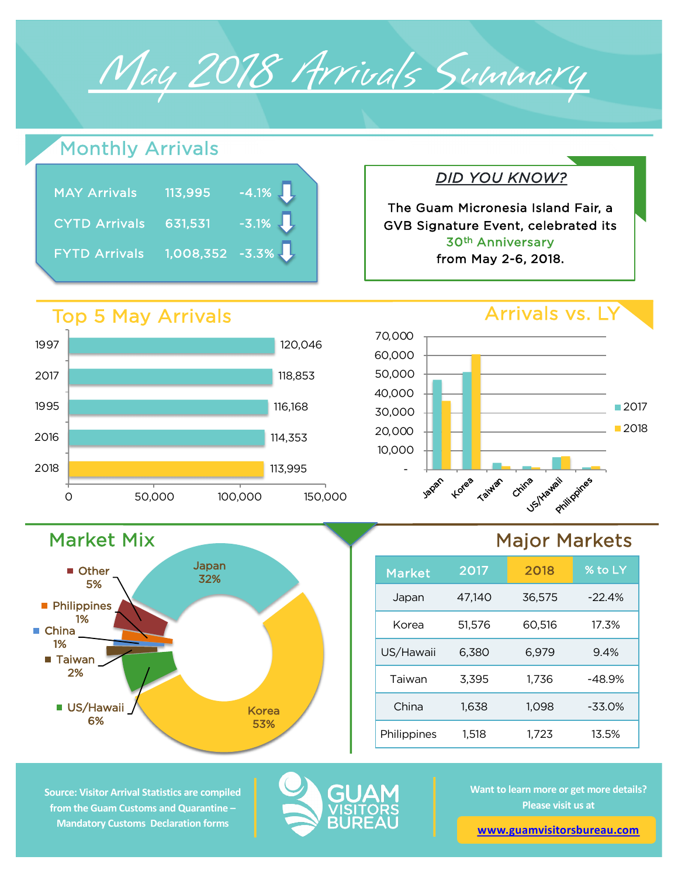

## Monthly Arrivals

| <b>MAY Arrivals</b>  | 113,995           | $-4.1\%$ |
|----------------------|-------------------|----------|
| <b>CYTD Arrivals</b> | 631,531           | $-3.1\%$ |
| <b>FYTD Arrivals</b> | $1,008,352$ -3.3% |          |

## Top 5 May Arrivals

Market Mix

**US/Hawaii** 6%

■ Taiwan 2%

**Philippines** 1%

Other 5%

■ China 1%



Japan 32%

> Korea 53%



*DID YOU KNOW?*

The Guam Micronesia Island Fair, a GVB Signature Event, celebrated its 30th Anniversary from May 2-6, 2018.

## Major Markets

| <b>Market</b> | 2017   | 2018   | % to LY  |
|---------------|--------|--------|----------|
| Japan         | 47.140 | 36,575 | $-22.4%$ |
| Korea         | 51,576 | 60,516 | 17.3%    |
| US/Hawaii     | 6,380  | 6,979  | 9.4%     |
| Taiwan        | 3,395  | 1,736  | $-48.9%$ |
| China         | 1,638  | 1,098  | $-33.0%$ |
| Philippines   | 1.518  | 1.723  | 13.5%    |

**Source: Visitor Arrival Statistics are compiled from the Guam Customs and Quarantine – Mandatory Customs Declaration forms** 



**Want to learn more or get more details? Please visit us at** 

**[www.guamvisitorsbureau.co](https://www.guamvisitorsbureau.com/research-and-reports/research)m**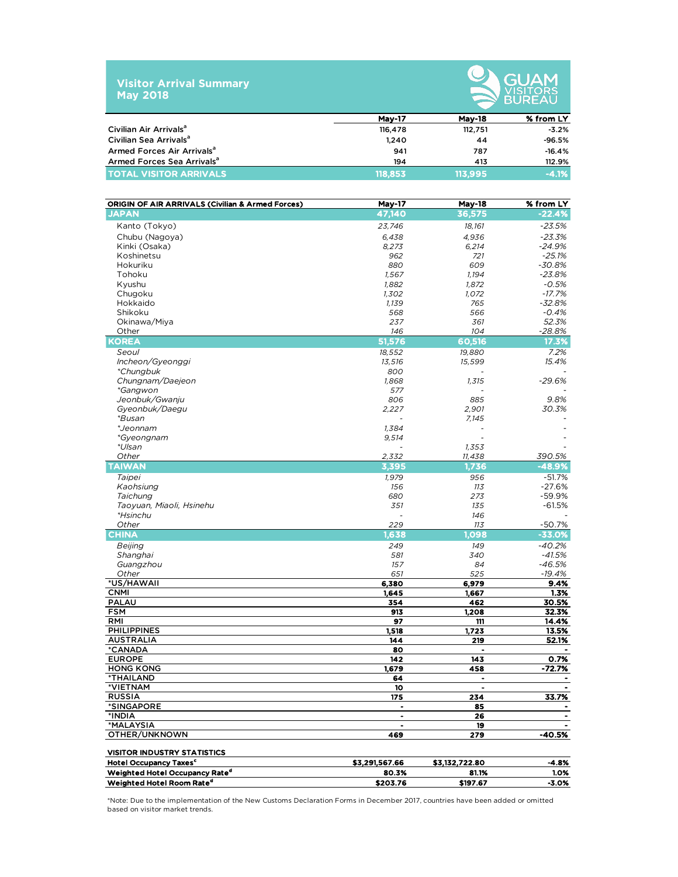



|                                        | <b>Mav-17</b> | <b>Mav-18</b> | % from LY |
|----------------------------------------|---------------|---------------|-----------|
| Civilian Air Arrivals <sup>a</sup>     | 116,478       | 112.751       | $-3.2%$   |
| Civilian Sea Arrivals <sup>a</sup>     | 1.240         | 44            | $-96.5%$  |
| Armed Forces Air Arrivals <sup>a</sup> | 941           | 787           | $-16.4%$  |
| Armed Forces Sea Arrivals <sup>a</sup> | 194           | 413           | 112.9%    |
| <b>TOTAL VISITOR ARRIVALS</b>          | 118,853       | 113.995       | $-4.1%$   |

| <b>ORIGIN OF AIR ARRIVALS (Civilian &amp; Armed Forces)</b> | <b>May-17</b>  | May-18         | % from LY                    |
|-------------------------------------------------------------|----------------|----------------|------------------------------|
| <b>JAPAN</b>                                                | 47,140         | 36,575         | $-22.4%$                     |
| Kanto (Tokyo)                                               | 23,746         | 18,161         | $-23.5%$                     |
| Chubu (Nagoya)                                              | 6,438          | 4,936          | $-23.3%$                     |
| Kinki (Osaka)                                               | 8,273          | 6,214          | $-24.9%$                     |
| Koshinetsu                                                  | 962            | 721            | $-25.1%$                     |
| Hokuriku                                                    | 880            | 609            | $-30.8%$                     |
| Tohoku                                                      | 1,567          | 1,194          | $-23.8%$                     |
| Kyushu                                                      | 1,882          | 1,872          | $-0.5%$                      |
| Chugoku                                                     | 1,302          | 1,072          | $-17.7%$                     |
| Hokkaido                                                    | 1,139          | 765            | $-32.8%$                     |
| Shikoku                                                     | 568            | 566            | $-0.4%$                      |
| Okinawa/Miya                                                | 237            | 361            | 52.3%                        |
| Other                                                       | 146            | 104            | -28.8%                       |
| <b>KOREA</b>                                                | 51,576         | 60,516         | 17.3%                        |
| Seoul                                                       | 18,552         | 19,880         | 7.2%                         |
| Incheon/Gyeonggi                                            | 13,516         | 15,599         | 15.4%                        |
| *Chungbuk                                                   | 800            |                |                              |
| Chungnam/Daejeon                                            | 1,868          | 1,315          | $-29.6%$                     |
| <i>*Gangwon</i>                                             | 577            |                |                              |
| Jeonbuk/Gwanju                                              | 806            | 885            | 9.8%<br>30.3%                |
| Gyeonbuk/Daegu<br>*Busan                                    | 2,227          | 2,901<br>7,145 |                              |
| *Jeonnam                                                    | 1.384          |                |                              |
| *Gyeongnam                                                  | 9,514          |                |                              |
| *Ulsan                                                      |                | 1,353          |                              |
| Other                                                       | 2,332          | 11,438         | 390.5%                       |
| <b>TAIWAN</b>                                               | 3,395          | 1.736          | $-48.9%$                     |
| Taipei                                                      | 1,979          | 956            | $-51.7%$                     |
| Kaohsiung                                                   | 156            | 113            | $-27.6%$                     |
| Taichung                                                    | 680            | 273            | $-59.9%$                     |
| Taoyuan, Miaoli, Hsinehu                                    | 351            | 135            | $-61.5%$                     |
| <i>*Hsinchu</i>                                             |                | 146            |                              |
| Other                                                       | 229            | 113            | -50.7%                       |
| <b>CHINA</b>                                                | 1,638          | 1,098          | $-33.0\%$                    |
| Beijing                                                     | 249            | 149            | $-40.2%$                     |
| Shanghai                                                    | 581            | 340            | $-41.5%$                     |
| Guangzhou                                                   | 157            | 84             | $-46.5%$                     |
| Other                                                       | 651            | 525            | $-19.4%$                     |
| *US/HAWAII                                                  | 6,380          | 6,979          | 9.4%                         |
| <b>CNMI</b>                                                 | 1,645          | 1,667          | 1.3%                         |
| <b>PALAU</b>                                                | 354            | 462            | 30.5%                        |
| <b>FSM</b>                                                  | 913            | 1,208          | 32.3%                        |
| <b>RMI</b>                                                  | 97             | 111            | 14.4%                        |
| <b>PHILIPPINES</b>                                          | 1,518          | 1,723          | 13.5%                        |
| <b>AUSTRALIA</b>                                            | 144            | 219            | 52.1%                        |
| *CANADA                                                     | 80             | ٠              |                              |
| <b>EUROPE</b>                                               | 142            | 143            | 0.7%<br>$-72.7%$             |
| <b>HONG KONG</b><br><b>*THAILAND</b>                        | 1,679<br>64    | 458<br>٠       | $\qquad \qquad \blacksquare$ |
| <b>VIETNAM</b>                                              | 10             | $\blacksquare$ | $\bullet$                    |
| <b>RUSSIA</b>                                               | 175            | 234            | 33.7%                        |
| *SINGAPORE                                                  |                | 85             |                              |
| *INDIA                                                      |                | 26             |                              |
| *MALAYSIA                                                   |                | 19             |                              |
| OTHER/UNKNOWN                                               | 469            | 279            | $-40.5%$                     |
| <b>VISITOR INDUSTRY STATISTICS</b>                          |                |                |                              |
| Hotel Occupancy Taxes <sup>c</sup>                          | \$3,291,567.66 | \$3,132,722.80 | -4.8%                        |
| Weighted Hotel Occupancy Rate <sup>d</sup>                  | 80.3%          | 81.1%          | 1.0%                         |
| Weighted Hotel Room Rate <sup>d</sup>                       | \$203.76       | \$197.67       | -3.0%                        |

\*Note: Due to the implementation of the New Customs Declaration Forms in December 2017, countries have been added or omitted based on visitor market trends.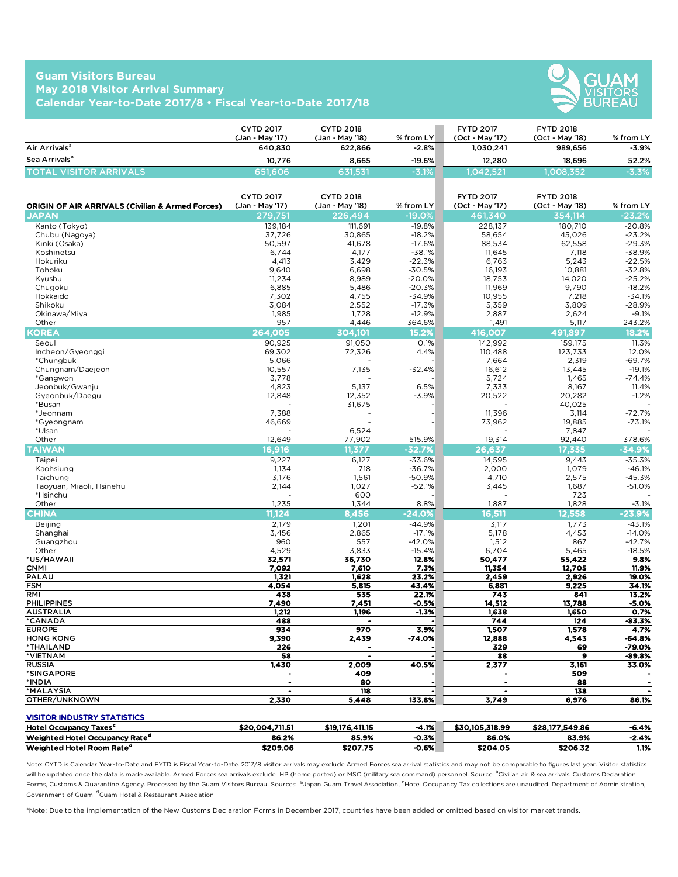## **Guam Visitors Bureau May 2018 Visitor Arrival Summary Calendar Year-to-Date 2017/8 • Fiscal Year-to-Date 2017/18**



|                           | <b>CYTD 2017</b><br>(Jan - Mav '17) | <b>CYTD 2018</b><br>(Jan - Mav '18) | $%$ from LY | <b>FYTD 2017</b><br>(Oct - May '17) | <b>FYTD 2018</b><br>(Oct - May '18) | % from LY |
|---------------------------|-------------------------------------|-------------------------------------|-------------|-------------------------------------|-------------------------------------|-----------|
| Air Arrivals <sup>a</sup> | 640.830                             | 622.866                             | $-2.8\%$    | 1.030.241                           | 989.656                             | $-3.9%$   |
| Sea Arrivals <sup>a</sup> | 10.776                              | 8.665                               | $-19.6%$    | 12.280                              | 18.696                              | 52.2%     |
| TOTAL VISITOR ARRIVALS.   | 651.606                             | 631.531                             | $-3.1%$     | 1.042.521                           | 1.008.352                           | $-3.3%$   |

| <b>ORIGIN OF AIR ARRIVALS (Civilian &amp; Armed Forces)</b> | <b>CYTD 2017</b><br>(Jan - May '17) | <b>CYTD 2018</b><br>(Jan - May '18) | % from LY            | <b>FYTD 2017</b><br>(Oct - May '17) | <b>FYTD 2018</b><br>(Oct - May '18) | % from LY            |
|-------------------------------------------------------------|-------------------------------------|-------------------------------------|----------------------|-------------------------------------|-------------------------------------|----------------------|
| <b>JAPAN</b>                                                | 279,751                             | 226.494                             | $-19.0%$             | 461,340                             | 354.114                             | $-23.2%$             |
| Kanto (Tokyo)                                               | 139.184                             | 111.691                             | $-19.8%$             | 228.137                             | 180,710                             | $-20.8%$             |
| Chubu (Nagoya)                                              | 37,726                              | 30.865                              | $-18.2%$             | 58,654                              | 45,026                              | $-23.2%$             |
| Kinki (Osaka)                                               | 50,597                              | 41,678                              | $-17.6%$             | 88,534                              | 62,558                              | $-29.3%$             |
| Koshinetsu                                                  | 6,744                               | 4,177                               | $-38.1%$             | 11,645                              | 7,118                               | $-38.9%$             |
| Hokuriku                                                    | 4,413                               | 3,429                               | $-22.3%$             | 6,763                               | 5,243                               | $-22.5%$             |
| Tohoku                                                      | 9,640                               | 6,698                               | $-30.5%$             | 16,193                              | 10,881                              | $-32.8%$             |
| Kyushu                                                      | 11,234                              | 8,989                               | $-20.0%$             | 18,753                              | 14,020<br>9,790                     | $-25.2%$             |
| Chugoku<br>Hokkaido                                         | 6,885<br>7,302                      | 5,486<br>4,755                      | $-20.3%$<br>$-34.9%$ | 11,969<br>10,955                    | 7,218                               | $-18.2%$<br>$-34.1%$ |
| Shikoku                                                     | 3,084                               | 2,552                               | $-17.3%$             | 5,359                               | 3,809                               | $-28.9%$             |
| Okinawa/Miya                                                | 1,985                               | 1,728                               | $-12.9%$             | 2,887                               | 2,624                               | $-9.1%$              |
| Other                                                       | 957                                 | 4,446                               | 364.6%               | 1,491                               | 5,117                               | 243.2%               |
| KOREA                                                       | 264,005                             | 304,101                             | 15.2%                | 416,007                             | 491.897                             | 18.2%                |
| Seoul                                                       | 90.925                              | 91,050                              | O.1%                 | 142,992                             | 159.175                             | 11.3%                |
| Incheon/Gyeonggi                                            | 69.302                              | 72,326                              | 4.4%                 | 110.488                             | 123,733                             | 12.0%                |
| *Chungbuk                                                   | 5.066                               |                                     |                      | 7.664                               | 2,319                               | $-69.7%$             |
| Chungnam/Daejeon                                            | 10.557                              | 7,135                               | $-32.4%$             | 16.612                              | 13,445                              | $-19.1%$             |
| *Gangwon                                                    | 3.778                               |                                     |                      | 5.724                               | 1.465                               | $-74.4%$             |
| Jeonbuk/Gwanju                                              | 4,823                               | 5,137                               | 6.5%                 | 7,333                               | 8,167                               | 11.4%                |
| Gyeonbuk/Daegu                                              | 12,848                              | 12,352                              | $-3.9%$              | 20,522                              | 20,282                              | $-1.2%$              |
| *Busan                                                      |                                     | 31,675                              |                      |                                     | 40,025                              |                      |
| *Jeonnam                                                    | 7,388                               |                                     |                      | 11,396                              | 3,114                               | $-72.7%$             |
| *Gyeongnam                                                  | 46,669                              |                                     |                      | 73,962                              | 19,885                              | $-73.1%$             |
| *Ulsan                                                      |                                     | 6,524                               |                      |                                     | 7,847                               |                      |
| Other<br><b>TAIWAN</b>                                      | 12,649                              | 77,902                              | 515.9%               | 19,314                              | 92,440                              | 378.6%               |
|                                                             | 16,916                              | 11,377                              | $-32.7%$             | 26,637                              | 17,335                              | $-34.9%$             |
| Taipei                                                      | 9.227<br>1.134                      | 6,127<br>718                        | $-33.6%$<br>$-36.7%$ | 14,595<br>2.000                     | 9.443<br>1.079                      | $-35.3%$<br>$-46.1%$ |
| Kaohsiung                                                   | 3,176                               | 1,561                               | $-50.9%$             | 4,710                               | 2,575                               | $-45.3%$             |
| Taichung<br>Taoyuan, Miaoli, Hsinehu                        | 2,144                               | 1.027                               | $-52.1%$             | 3,445                               | 1,687                               | $-51.0%$             |
| *Hsinchu                                                    |                                     | 600                                 |                      |                                     | 723                                 |                      |
| Other                                                       | 1,235                               | 1,344                               | 8.8%                 | 1,887                               | 1,828                               | -3.1%                |
| <b>CHINA</b>                                                | 11.124                              | 8.456                               | $-24.0%$             | 16,511                              | 12.558                              | $-23.9%$             |
| <b>Beijing</b>                                              | 2,179                               | 1,201                               | $-44.9%$             | 3,117                               | 1,773                               | $-43.1%$             |
| Shanghai                                                    | 3,456                               | 2,865                               | $-17.1%$             | 5,178                               | 4,453                               | $-14.0%$             |
| Guangzhou                                                   | 960                                 | 557                                 | $-42.0%$             | 1,512                               | 867                                 | $-42.7%$             |
| Other                                                       | 4,529                               | 3,833                               | $-15.4%$             | 6,704                               | 5,465                               | $-18.5%$             |
| *US/HAWAII                                                  | 32,571                              | 36,730                              | 12.8%                | 50,477                              | 55,422                              | 9.8%                 |
| <b>CNMI</b>                                                 | 7,092                               | 7,610                               | 7.3%                 | 11,354                              | 12,705                              | 11.9%                |
| PALAU                                                       | 1,321                               | 1,628                               | 23.2%                | 2,459                               | 2,926                               | 19.0%                |
| <b>FSM</b>                                                  | 4,054                               | 5,815                               | 43.4%                | 6,881                               | 9,225                               | 34.1%                |
| RMI<br><b>PHILIPPINES</b>                                   | 438<br>7,490                        | 535<br>7,451                        | 22.1%<br>$-0.5%$     | 743<br>14,512                       | 841<br>13,788                       | 13.2%<br>$-5.0%$     |
| <b>AUSTRALIA</b>                                            | 1.212                               | 1,196                               | $-1.3%$              | 1,638                               | 1,650                               | 0.7%                 |
| *CANADA                                                     | 488                                 |                                     |                      | 744                                 | 124                                 | $-83.3%$             |
| <b>EUROPE</b>                                               | 934                                 | 970                                 | 3.9%                 | 1,507                               | 1,578                               | 4.7%                 |
| <b>HONG KONG</b>                                            | 9,390                               | 2,439                               | $-74.0%$             | 12,888                              | 4,543                               | $-64.8%$             |
| *THAILAND                                                   | 226                                 | $\blacksquare$                      |                      | 329                                 | 69                                  | $-79.0%$             |
| *VIETNAM                                                    | 58                                  |                                     |                      | 88                                  | $\overline{\mathbf{g}}$             | $-89.8%$             |
| <b>RUSSIA</b>                                               | 1,430                               | 2.009                               | 40.5%                | 2,377                               | 3,161                               | 33.0%                |
| *SINGAPORE                                                  | $\bullet$                           | 409                                 | $\ddot{\phantom{0}}$ | $\bullet$                           | 509                                 |                      |
| *INDIA                                                      | $\bullet$                           | 80                                  | $\bullet$            | $\bullet$                           | 88                                  | $\bullet$            |
| *MALAYSIA                                                   |                                     | 118                                 |                      |                                     | 138                                 |                      |
| OTHER/UNKNOWN                                               | 2,330                               | 5,448                               | 133.8%               | 3.749                               | 6,976                               | 86.1%                |

| <b>VISITOR INDUSTRY STATISTICS</b>         |                 |                 |         |                 |                 |         |
|--------------------------------------------|-----------------|-----------------|---------|-----------------|-----------------|---------|
| <b>Hotel Occupancy Taxes<sup>c</sup></b>   | \$20.004.711.51 | \$19,176,411.15 | $-4.1%$ | \$30.105.318.99 | \$28,177,549.86 | $-6.4%$ |
| Weighted Hotel Occupancy Rate <sup>d</sup> | 86.2%           | 85.9%           | $-0.3%$ | 86.0%           | 83.9%           | $-2.4%$ |
| Weighted Hotel Room Rate <sup>d</sup>      | \$209.06        | \$207.75        | -0.6%   | \$204.05        | \$206.32        | 1.1%    |

Note: CYTD is Calendar Year-to-Date and FYTD is Fiscal Year-to-Date. 2017/8 visitor arrivals may exclude Armed Forces sea arrival statistics and may not be comparable to figures last year. Visitor statistics will be updated once the data is made available. Armed Forces sea arrivals exclude HP (home ported) or MSC (military sea command) personnel. Source: <sup>a</sup>Civilian air & sea arrivals. Customs Declaration Forms, Customs & Quarantine Agency. Processed by the Guam Visitors Bureau. Sources: 『Japan Guam Travel Association, <sup>C</sup>Hotel Occupancy Tax collections are unaudited. Department of Administration, Government of Guam dGuam Hotel & Restaurant Association

\*Note: Due to the implementation of the New Customs Declaration Forms in December 2017, countries have been added or omitted based on visitor market trends.